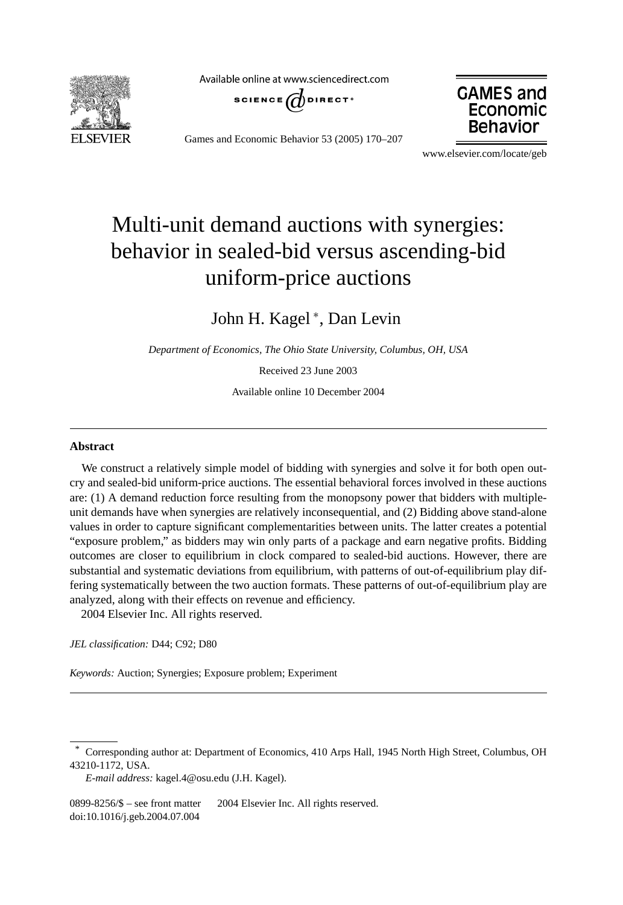

Available online at www.sciencedirect.com







www.elsevier.com/locate/geb

## Multi-unit demand auctions with synergies: behavior in sealed-bid versus ascending-bid uniform-price auctions

John H. Kagel<sup>\*</sup>, Dan Levin

*Department of Economics, The Ohio State University, Columbus, OH, USA*

Received 23 June 2003

Available online 10 December 2004

## **Abstract**

We construct a relatively simple model of bidding with synergies and solve it for both open outcry and sealed-bid uniform-price auctions. The essential behavioral forces involved in these auctions are: (1) A demand reduction force resulting from the monopsony power that bidders with multipleunit demands have when synergies are relatively inconsequential, and (2) Bidding above stand-alone values in order to capture significant complementarities between units. The latter creates a potential "exposure problem," as bidders may win only parts of a package and earn negative profits. Bidding outcomes are closer to equilibrium in clock compared to sealed-bid auctions. However, there are substantial and systematic deviations from equilibrium, with patterns of out-of-equilibrium play differing systematically between the two auction formats. These patterns of out-of-equilibrium play are analyzed, along with their effects on revenue and efficiency. 2004 Elsevier Inc. All rights reserved.

*JEL classification:* D44; C92; D80

*Keywords:* Auction; Synergies; Exposure problem; Experiment

<sup>\*</sup> Corresponding author at: Department of Economics, 410 Arps Hall, 1945 North High Street, Columbus, OH 43210-1172, USA.

*E-mail address:* kagel.4@osu.edu (J.H. Kagel).

<sup>0899-8256/\$ –</sup> see front matter © 2004 Elsevier Inc. All rights reserved. doi:10.1016/j.geb.2004.07.004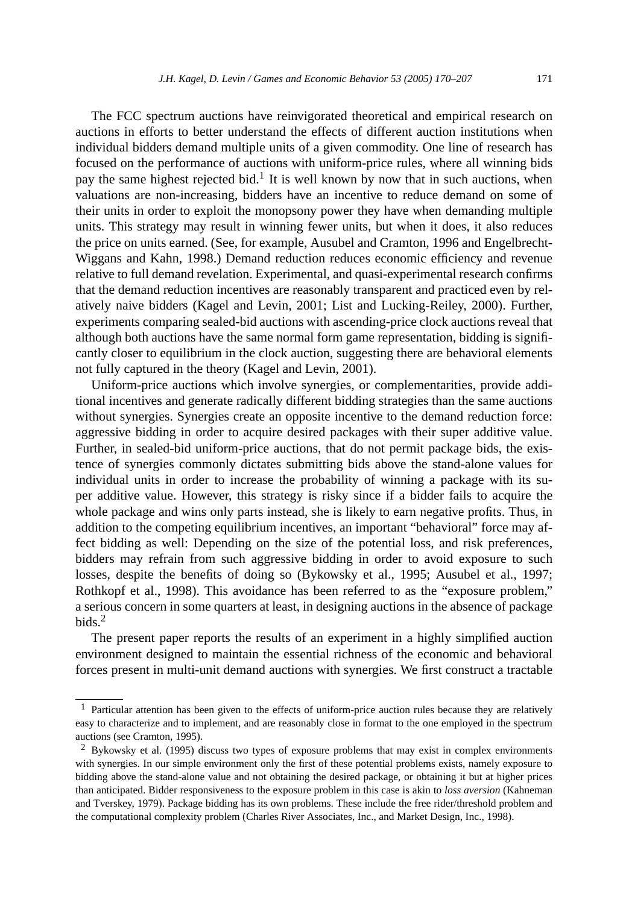The FCC spectrum auctions have reinvigorated theoretical and empirical research on auctions in efforts to better understand the effects of different auction institutions when individual bidders demand multiple units of a given commodity. One line of research has focused on the performance of auctions with uniform-price rules, where all winning bids pay the same highest rejected bid.<sup>1</sup> It is well known by now that in such auctions, when valuations are non-increasing, bidders have an incentive to reduce demand on some of their units in order to exploit the monopsony power they have when demanding multiple units. This strategy may result in winning fewer units, but when it does, it also reduces the price on units earned. (See, for example, Ausubel and Cramton, 1996 and Engelbrecht-Wiggans and Kahn, 1998.) Demand reduction reduces economic efficiency and revenue relative to full demand revelation. Experimental, and quasi-experimental research confirms that the demand reduction incentives are reasonably transparent and practiced even by relatively naive bidders (Kagel and Levin, 2001; List and Lucking-Reiley, 2000). Further, experiments comparing sealed-bid auctions with ascending-price clock auctions reveal that although both auctions have the same normal form game representation, bidding is significantly closer to equilibrium in the clock auction, suggesting there are behavioral elements not fully captured in the theory (Kagel and Levin, 2001).

Uniform-price auctions which involve synergies, or complementarities, provide additional incentives and generate radically different bidding strategies than the same auctions without synergies. Synergies create an opposite incentive to the demand reduction force: aggressive bidding in order to acquire desired packages with their super additive value. Further, in sealed-bid uniform-price auctions, that do not permit package bids, the existence of synergies commonly dictates submitting bids above the stand-alone values for individual units in order to increase the probability of winning a package with its super additive value. However, this strategy is risky since if a bidder fails to acquire the whole package and wins only parts instead, she is likely to earn negative profits. Thus, in addition to the competing equilibrium incentives, an important "behavioral" force may affect bidding as well: Depending on the size of the potential loss, and risk preferences, bidders may refrain from such aggressive bidding in order to avoid exposure to such losses, despite the benefits of doing so (Bykowsky et al., 1995; Ausubel et al., 1997; Rothkopf et al., 1998). This avoidance has been referred to as the "exposure problem," a serious concern in some quarters at least, in designing auctions in the absence of package bids. $2$ 

The present paper reports the results of an experiment in a highly simplified auction environment designed to maintain the essential richness of the economic and behavioral forces present in multi-unit demand auctions with synergies. We first construct a tractable

<sup>&</sup>lt;sup>1</sup> Particular attention has been given to the effects of uniform-price auction rules because they are relatively easy to characterize and to implement, and are reasonably close in format to the one employed in the spectrum auctions (see Cramton, 1995).

<sup>2</sup> Bykowsky et al. (1995) discuss two types of exposure problems that may exist in complex environments with synergies. In our simple environment only the first of these potential problems exists, namely exposure to bidding above the stand-alone value and not obtaining the desired package, or obtaining it but at higher prices than anticipated. Bidder responsiveness to the exposure problem in this case is akin to *loss aversion* (Kahneman and Tverskey, 1979). Package bidding has its own problems. These include the free rider/threshold problem and the computational complexity problem (Charles River Associates, Inc., and Market Design, Inc., 1998).